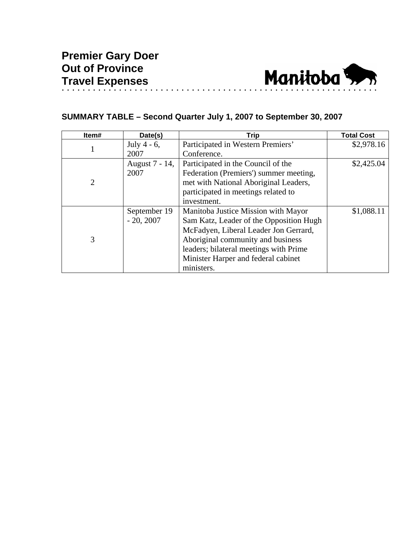

## **SUMMARY TABLE – Second Quarter July 1, 2007 to September 30, 2007**

| Item# | Date(s)        | <b>Trip</b>                             | <b>Total Cost</b> |
|-------|----------------|-----------------------------------------|-------------------|
|       | July 4 - $6$ , | Participated in Western Premiers'       | \$2,978.16        |
|       | 2007           | Conference.                             |                   |
| 2     | August 7 - 14, | Participated in the Council of the      | \$2,425.04        |
|       | 2007           | Federation (Premiers') summer meeting,  |                   |
|       |                | met with National Aboriginal Leaders,   |                   |
|       |                | participated in meetings related to     |                   |
|       |                | investment.                             |                   |
| 3     | September 19   | Manitoba Justice Mission with Mayor     | \$1,088.11        |
|       | $-20, 2007$    | Sam Katz, Leader of the Opposition Hugh |                   |
|       |                | McFadyen, Liberal Leader Jon Gerrard,   |                   |
|       |                | Aboriginal community and business       |                   |
|       |                | leaders; bilateral meetings with Prime  |                   |
|       |                | Minister Harper and federal cabinet     |                   |
|       |                | ministers.                              |                   |